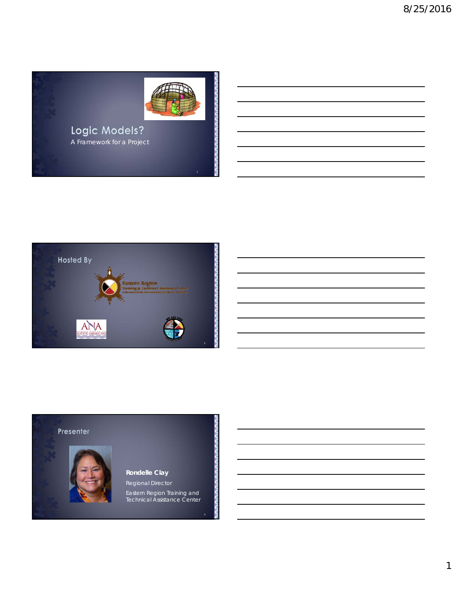



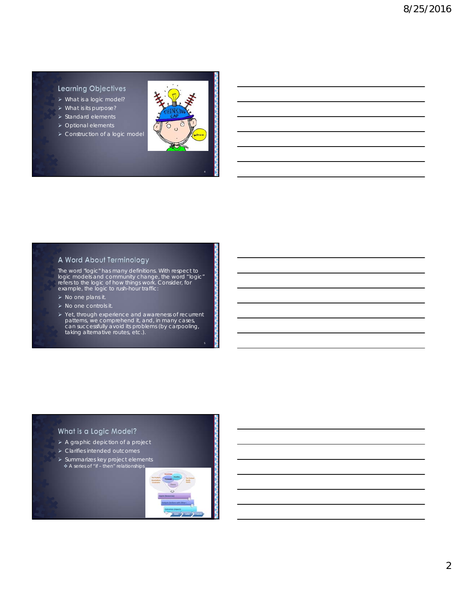## **Learning Objectives**

- What is a logic model?
- What is its purpose?
- $\triangleright$  Standard elements
- ▶ Optional elements
- > Construction of a logic model



## A Word About Terminology

The word "logic" has many definitions. With respect to logic models and community change, the word "logic" refers to the logic of how things work. Consider, for example, the logic to rush-hour traffic:

- $\triangleright$  No one plans it.
- $\triangleright$  No one controls it.
- Yet, through experience and awareness of recurrent patterns, we comprehend it, and, in many cases, can successfully avoid its problems (by carpooling, taking alternative routes, etc.).

## What is a Logic Model?

- A graphic depiction of a project
- Clarifies intended outcomes
- $\triangleright$  Summarizes key project elements

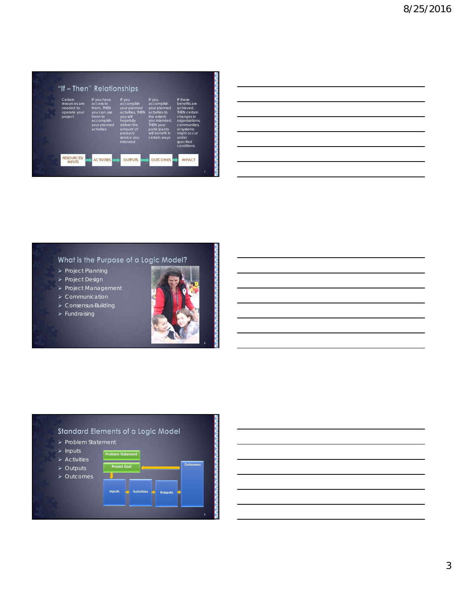

## What is the Purpose of a Logic Model?

- $\triangleright$  Project Planning
- > Project Design
- **> Project Management**
- Communication
- > Consensus-Building
- $\blacktriangleright$  Fundraising





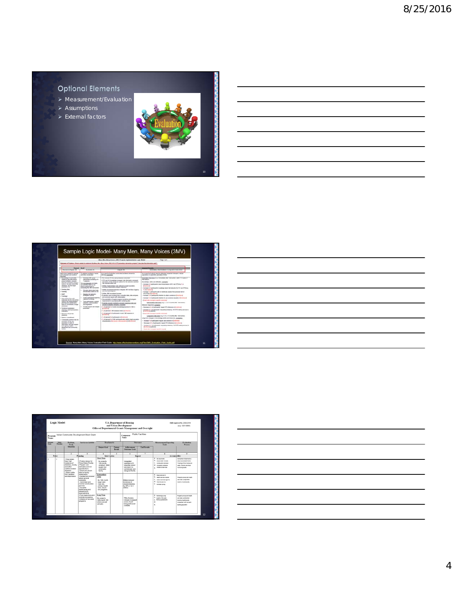# **Optional Elements**

- Measurement/Evaluation
- $\blacktriangleright$  Assumptions
- > External factors



|                                                                                                                                                                                                                                                                                                                                                                                                                                                                                                                                                                                                                                                                                                                                                                                              |                                                                                                                                                                                                                                                                                                                                                                                                                                                                                                    | Bury Mrs. Kery Vincer (WVCP) righer ExplorateDick Light Middle<br>lement of Frodbook, What is realist to maintenant the Mero, Mero Steve Clevel Att . A 1712 prevention interaction program? You plus the interaction and "                                                                                                                                                                                                                                                                                                                                                                                                                                                                                                                                                                                                                                                                                                                                                                                                                                                                                                                                                             | Page 1 of 1                                                                                                                                                                                                                                                                                                                                                                                                                                                                                                                                                                                                                                                                                                                                                                                                                                                                                                                                                                                                                                                                                                                                                                                                                                                                                                                                                                                                                                                       |
|----------------------------------------------------------------------------------------------------------------------------------------------------------------------------------------------------------------------------------------------------------------------------------------------------------------------------------------------------------------------------------------------------------------------------------------------------------------------------------------------------------------------------------------------------------------------------------------------------------------------------------------------------------------------------------------------------------------------------------------------------------------------------------------------|----------------------------------------------------------------------------------------------------------------------------------------------------------------------------------------------------------------------------------------------------------------------------------------------------------------------------------------------------------------------------------------------------------------------------------------------------------------------------------------------------|-----------------------------------------------------------------------------------------------------------------------------------------------------------------------------------------------------------------------------------------------------------------------------------------------------------------------------------------------------------------------------------------------------------------------------------------------------------------------------------------------------------------------------------------------------------------------------------------------------------------------------------------------------------------------------------------------------------------------------------------------------------------------------------------------------------------------------------------------------------------------------------------------------------------------------------------------------------------------------------------------------------------------------------------------------------------------------------------------------------------------------------------------------------------------------------------|-------------------------------------------------------------------------------------------------------------------------------------------------------------------------------------------------------------------------------------------------------------------------------------------------------------------------------------------------------------------------------------------------------------------------------------------------------------------------------------------------------------------------------------------------------------------------------------------------------------------------------------------------------------------------------------------------------------------------------------------------------------------------------------------------------------------------------------------------------------------------------------------------------------------------------------------------------------------------------------------------------------------------------------------------------------------------------------------------------------------------------------------------------------------------------------------------------------------------------------------------------------------------------------------------------------------------------------------------------------------------------------------------------------------------------------------------------------------|
| Resume Los Algorita *                                                                                                                                                                                                                                                                                                                                                                                                                                                                                                                                                                                                                                                                                                                                                                        | <b>Sevent Work</b><br>Automat &                                                                                                                                                                                                                                                                                                                                                                                                                                                                    | Chalgedia *                                                                                                                                                                                                                                                                                                                                                                                                                                                                                                                                                                                                                                                                                                                                                                                                                                                                                                                                                                                                                                                                                                                                                                             | tionadists, binemalists & Long love Club cover                                                                                                                                                                                                                                                                                                                                                                                                                                                                                                                                                                                                                                                                                                                                                                                                                                                                                                                                                                                                                                                                                                                                                                                                                                                                                                                                                                                                                    |
| Resinct and market in specials<br>plot streplast and combot<br><b>Advise</b>                                                                                                                                                                                                                                                                                                                                                                                                                                                                                                                                                                                                                                                                                                                 | To address problem or more<br>activities constraint                                                                                                                                                                                                                                                                                                                                                                                                                                                | in a most of activities condition, securities of service.<br>delivers associates                                                                                                                                                                                                                                                                                                                                                                                                                                                                                                                                                                                                                                                                                                                                                                                                                                                                                                                                                                                                                                                                                                        | As a small of policity converse demonstrations and changes or incur-<br>president to specified partnelled of kines                                                                                                                                                                                                                                                                                                                                                                                                                                                                                                                                                                                                                                                                                                                                                                                                                                                                                                                                                                                                                                                                                                                                                                                                                                                                                                                                                |
| substant to the intervention.<br>price business program<br>starting prevention Bench, &<br>interest security intransition<br>infections, and the tenant<br><b>Introduct, etc.</b><br>- Exterious Auto<br>- Funding<br>$-$ Modl<br>1. Theirman<br><b>Internation five with</b><br>instance, by the chronical<br><b>Institute</b> , the displacementation<br>parentral limit personal<br><b>Rows by mobilizinet, instant</b><br>Michalters<br>Technical executive<br>abrerio talerratatabilio.<br><b>Exploration</b><br><b>North for the grown</b><br><b>REGISTER</b><br>Agency consultant<br>> Canonamic partners by the<br><b><i>Internation of the and</i></b><br>provided in real of<br><b>Howards annual boom!</b><br><b>Run agent), looks</b><br>department and commonly<br><b>SAFER</b> | improvements and security of 8 -<br>announces.<br>San core stampite and bake<br>and actualize benchun fra-<br><b>MARINA JEWEREN SAN THE</b><br>contacting the 1981 intervention<br>1 Educate cherric descal raise<br>and severilize shorts to risk<br>. Develop risk reduction<br><b>Immules</b> in group<br>1 Cash on topolo matrice<br>capacity for ofraction<br>Trapi carticipanti in cartial<br>a.<br>sensitive constuments.<br>and implication<br>1. Provide autourt and respon-<br>promptus. | To a new 22 har plus season contribed<br>1773 and 16V invadedue increased, risk information someousl<br>perception of real antiqueasil systems for that reduction systems<br>the results with bull.<br>Writer Insternmentalist ulter, fellowd to be get population.<br>Pulsakio measurearre program dopolazio<br>teritor promospoundures to integrate 1MV inc. flow of agency<br><b>ARTWOOD, AND SPAINTING</b><br>1. Gorban, Billy recruitment comment<br>To structure chan including looks availabled childs disks at about<br>and summary reports with interpretation<br>Description of market importance and program<br>expressional is accordance with monitoring plan-<br>Current program membering generally directives net used<br>allows business colonials, supported<br>1. Your absence it of claims recontent approached by DeVice<br><b>Burgerman</b><br>- 1. of planned it 1981 assisting held in Streetunity<br>- 1. of starsed 1 of participants in each 76V assumes in<br><b>Brightoni</b><br>> 1. of planned if of participants in \$1 millioned<br>. 1. of pierced 4 of 78W performance who satisfy target providing<br>d'atalaide 2 si gius a desareito i a proferal | bonadata lakuatan in a trowkasty after standard adder 1.2 aprile of<br><b><i>ERICARDON</i></b><br>Bergindas, skiln and officeles, complete<br>browser in Frankroams' dead transmission of the wat ETS a to 11 m.<br><b>Direct small</b><br>1. The money in 17 participants' transitioning about Ada metalliser for 1977 and STTDs by<br><b>V-8-Structuring</b><br>The factor of the financial and the model of the state of the content of the<br>restitia e insenso<br>1 Transport T. of Japh Lewis 1 Martins No oblige considers in Strawford 1<br>· Western Truth and continued of structure to your constitution required to the continued<br>a Smart also of program specific naturalized<br>Biberschen Galumee in p. 7. 3. at 5-sentic after enteredoes<br><b>Believine Imparined Josephin</b><br>. Decrease at N. of particularly takend 272 influences in Direction of<br>· To move it 1 of particularly teaching children of (107) widing services in<br>board sound pathway.<br>a Department of program statistic extension<br>Ling but Discount to a 4.5 or 17 recent after restraining<br>Long term changes in Europholga, skills and behaviors, assissing.<br>+ Europee % of participants' regular use constants in Europeanol<br>1. Decrease in N of serious and in the Markets in Assetsment<br>- Instead at 5 of participants' respecting' schaling. AEUTITS leading persons it.<br>Dentischer General<br>4 Email als of program specific imports |

| $\overline{\phantom{a}}$ |
|--------------------------|
|                          |
|                          |
|                          |
|                          |
|                          |
|                          |
|                          |
|                          |
|                          |
|                          |

| Name:                     | Office of Departmental Grants Management and Oversight<br>Indian Community Development Block Grant<br><b>Program</b> |                                                                                                                                                                                                         |                                                                                                                                                                                                                                                                                                                                                                   |                                                                                                                                                                                                                               | Сопаровева<br>Name: | <b>Public Facilities</b>                                                                                                                                                                               |                    |                                                                                                                                                                                                                                                   |                                                                                                                                                                                                                           |
|---------------------------|----------------------------------------------------------------------------------------------------------------------|---------------------------------------------------------------------------------------------------------------------------------------------------------------------------------------------------------|-------------------------------------------------------------------------------------------------------------------------------------------------------------------------------------------------------------------------------------------------------------------------------------------------------------------------------------------------------------------|-------------------------------------------------------------------------------------------------------------------------------------------------------------------------------------------------------------------------------|---------------------|--------------------------------------------------------------------------------------------------------------------------------------------------------------------------------------------------------|--------------------|---------------------------------------------------------------------------------------------------------------------------------------------------------------------------------------------------------------------------------------------------|---------------------------------------------------------------------------------------------------------------------------------------------------------------------------------------------------------------------------|
| <b>Corporate</b><br>Ceah: | Pulley.<br>Principles.                                                                                               | Problem.<br>Need.                                                                                                                                                                                       | Service or Activity                                                                                                                                                                                                                                                                                                                                               | Renchmarks                                                                                                                                                                                                                    |                     |                                                                                                                                                                                                        | Outcomes           | <b>Measurement Reporting</b><br>Teels                                                                                                                                                                                                             | Evaluation<br><b>Process</b>                                                                                                                                                                                              |
|                           |                                                                                                                      | <b>Situation</b>                                                                                                                                                                                        |                                                                                                                                                                                                                                                                                                                                                                   | <b>Output Goal</b>                                                                                                                                                                                                            | Ostpot<br>Retale    | Achievement<br>Outcome Goals                                                                                                                                                                           | <b>Fad Recales</b> |                                                                                                                                                                                                                                                   |                                                                                                                                                                                                                           |
|                           |                                                                                                                      | х                                                                                                                                                                                                       |                                                                                                                                                                                                                                                                                                                                                                   | ×                                                                                                                                                                                                                             | к                   | $\overline{6}$                                                                                                                                                                                         |                    | ×                                                                                                                                                                                                                                                 | $\overline{\circ}$                                                                                                                                                                                                        |
|                           | Policy                                                                                                               |                                                                                                                                                                                                         | Planning                                                                                                                                                                                                                                                                                                                                                          | Intervention                                                                                                                                                                                                                  |                     |                                                                                                                                                                                                        | Impact             | Accountability                                                                                                                                                                                                                                    |                                                                                                                                                                                                                           |
|                           | $\overline{z}$                                                                                                       | -Tribal elders<br>have high<br>insidence of<br>dabetes, obesity<br>and other<br>nutrition-related<br><b><i><u><i><u>Aspanent</u></i></u></i></b><br>- Eiders suffer<br>from isolation<br>and depression | Finalize design for<br>Tribal Elders Facility<br><b>Prepare</b> cost<br>estimates and bid<br>specifications<br>Solicit and secure<br>bids for facility<br>construction<br>Conduct bid nonpensi<br>select general<br>contractor<br>. Administer and<br>monitor construction<br><b>CATATINGS</b><br>-Complete<br>landscaping and<br>intrastructure<br>innocuenzents | Short Tema<br>By project's<br>12th month.<br>construct 6000<br>square foot<br>community<br>facility<br>Intermediate<br>Tema<br>By 16th month<br>begin daily<br>meal site.<br>primary health<br>care, leisure<br>sys programs. |                     | Integrated<br>contation of 6<br>essential elders'<br>services in a<br>cerétaired, wel-<br>designed facility<br><b>Fiders reduced</b><br>incidence of<br>obesity(dabetes)<br>by 50% (1 in 5)<br>ekters) |                    | 3. Belonuments<br><b>b.</b> Artur code motors<br>C. Constructor schedule<br>4. создатся вставля<br>a Intalion of services<br>8. Mass steamer<br><b>D.</b> Haram secures recover<br>C. Leisure services sign-ins<br>d. recreases<br>C. menes saver | Comparison of planned is<br>adual accumptationers<br>Tracking of firm frames and<br>cody. Drawing and facult<br>nontoniolautis<br><b>Pre-engl surveys and health</b><br>care cata. Longitudinal<br>tooing of participants |
|                           |                                                                                                                      |                                                                                                                                                                                                         | -Final inspections and<br>OVARIAN OCCUDANCY<br>Initiation of services/<br>programs                                                                                                                                                                                                                                                                                | Long Term<br>By project's<br>34th events 300<br>eiders served<br>annually                                                                                                                                                     |                     | 70% of aiders<br>indicate increased<br>sense of well<br>being and social<br>contacts                                                                                                                   |                    | a. meteorgazier<br>b. customans<br>c. Fanty questionrain<br>A<br>e.                                                                                                                                                                               | Fre-post surveys and health<br>care tata Langhatinal<br>tracking of participants.<br>Constantint with non-party.<br>clasing papulation                                                                                    |

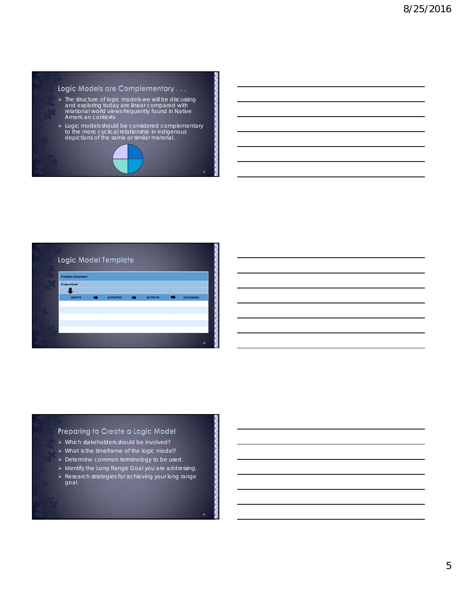#### Logic Models are Complementary . . .

- The structure of logic models we will be discussing and exploring today are linear compared with relational world views frequently found in Native American contexts
- Logic models should be considered complementary to the more cyclical relationship in indigenous depictions of the same or similar material.





## Preparing to Create a Logic Model

- Which stakeholders should be involved?
- > What is the timeframe of the logic model?
- > Determine common terminology to be used.
- > Identify the Long Range Goal you are addressing.
- Research strategies for achieving your long range goal.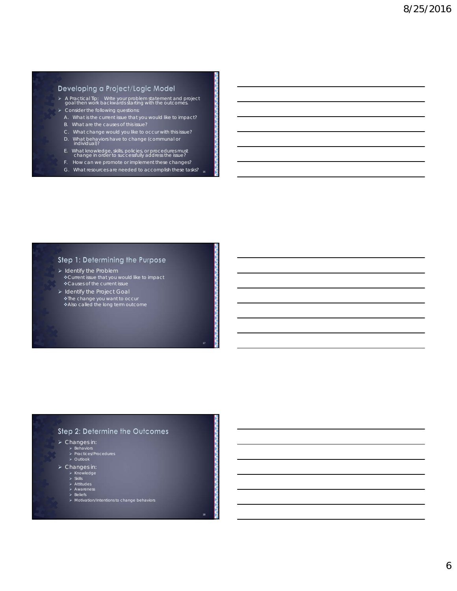## Developing a Project/Logic Model

- A Practical Tip: Write your problem statement and project goal then work backwards starting with the outcomes.  $\triangleright$  Consider the following questions:
- A. What is the current issue that you would like to impact?
- B. What are the causes of this issue?
- C. What change would you like to occur with this issue?
- D. What behaviors have to change (communal or<br>individual)?
- E. What knowledge, skills, policies, or procedures must change in order to successfully address the issue?
- F. How can we promote or implement these changes?
- 16 G. What resources are needed to accomplish these tasks?

## Step 1: Determining the Purpose

- $\triangleright$  Identify the Problem Current issue that you would like to impact Causes of the current issue
- $\triangleright$  Identify the Project Goal The change you want to occur ❖ Also called the long term outcome

## Step 2: Determine the Outcomes

18

- $\triangleright$  Changes in:
	- ⊁ Behaviors<br>≻ Practices/Procedures<br>≻ Outlook
	-
- > Changes in:
	-
	-
	-
	- > Knowledge<br>> Skills<br>> Attitudes<br>> Awareness<br>> Motivation/Intentions to change behaviors<br>> Motivation/Intentions to change behaviors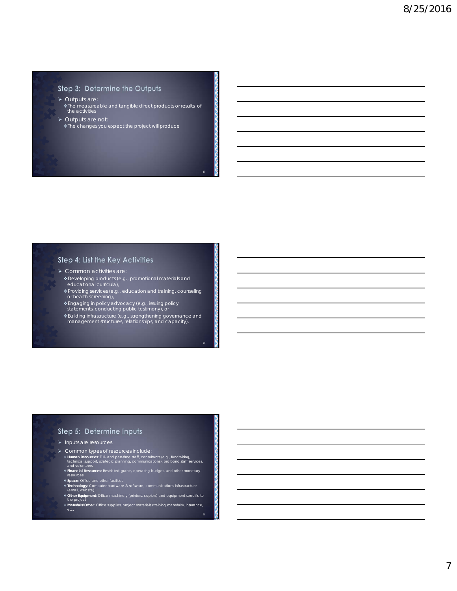## Step 3: Determine the Outputs

- > Outputs are: The measureable and tangible direct products or results of the activities
- > Outputs are not: The changes you expect the project will produce

## Step 4: List the Key Activities

- Common activities are:
- Developing products (e.g., promotional materials and educational curricula),
- Providing services (e.g., education and training, counseling or health screening),
- Engaging in policy advocacy (e.g., issuing policy statements, conducting public testimony), or
- Building infrastructure (e.g., strengthening governance and management structures, relationships, and capacity).

## Step 5: Determine Inputs

- $\blacktriangleright$  Inputs are resources.
- > Common types of resources include:
- **¢ Human Resources:** Full- and part-time staff, consultants (e.g., fundraising,<br>technical support, strategic planning, communications), pro bono staff services,<br>and volunteers<br>**¢ Financial Resources**: Restricted grants, op
- 
- 
- resources **Space**: Office and other facilities **Technology**: Computer hardware & software, communications infrastructure (email, website)
- **Other Equipment**: Office machinery (printers, copiers) and equipment specific to the project

21

**Materials/Other**: Office supplies, project materials (training materials), insurance, etc.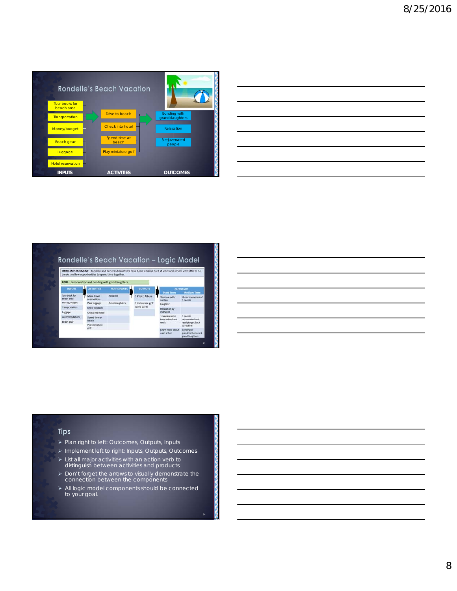

|                                                                                                                        |  | the control of the control of the |
|------------------------------------------------------------------------------------------------------------------------|--|-----------------------------------|
|                                                                                                                        |  |                                   |
| <u> 1989 - Johann Stoff, deutscher Stoffen und der Stoffen und der Stoffen und der Stoffen und der Stoffen und der</u> |  |                                   |
|                                                                                                                        |  |                                   |
|                                                                                                                        |  | _______                           |
|                                                                                                                        |  |                                   |
|                                                                                                                        |  |                                   |
|                                                                                                                        |  |                                   |
|                                                                                                                        |  |                                   |



|                                                                                                                 |  | ,我们也不会有什么?""我们的人,我们也不会有什么?""我们的人,我们也不会有什么?""我们的人,我们也不会有什么?""我们的人,我们也不会有什么?""我们的人                                      |  |
|-----------------------------------------------------------------------------------------------------------------|--|-----------------------------------------------------------------------------------------------------------------------|--|
|                                                                                                                 |  | <u> 1989 - Johann Stoff, deutscher Stoff, der Stoff, der Stoff, der Stoff, der Stoff, der Stoff, der Stoff, der S</u> |  |
|                                                                                                                 |  |                                                                                                                       |  |
| and the control of the control of the control of the control of the control of the control of the control of th |  | _______                                                                                                               |  |
|                                                                                                                 |  | ,我们也不会有什么?""我们的人,我们也不会有什么?""我们的人,我们也不会有什么?""我们的人,我们也不会有什么?""我们的人,我们也不会有什么?""我们的人                                      |  |
|                                                                                                                 |  | <u> 1989 - Johann Stoff, amerikansk politiker (d. 1989)</u>                                                           |  |
|                                                                                                                 |  |                                                                                                                       |  |
|                                                                                                                 |  |                                                                                                                       |  |

#### Tips

- > Plan right to left: Outcomes, Outputs, Inputs
- > Implement left to right: Inputs, Outputs, Outcomes
- List all major activities with an action verb to distinguish between activities and products
- Don't forget the arrows to visually demonstrate the connection between the components
- > All logic model components should be connected to your goal.